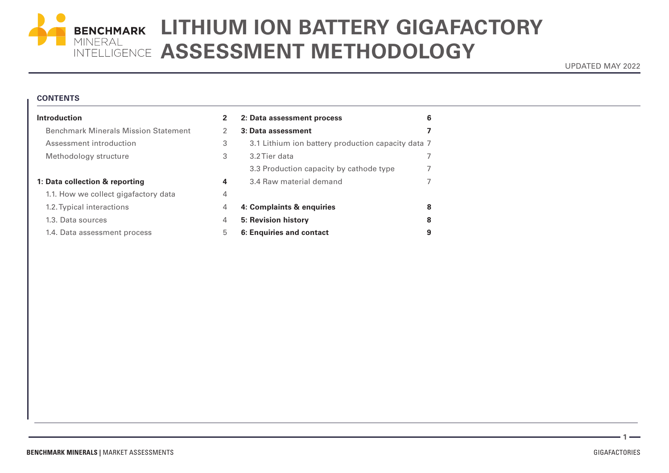

# BENCHMARK LITHIUM ION BATTERY GIGAFACTORY INTELLIGENCE **ASSESSMENT METHODOLOGY**

UPDATED MAY 2022

### **CONTENTS**

| <b>Introduction</b>                         | $\mathbf{2}$ | 2: Data assessment process                         | 6 |
|---------------------------------------------|--------------|----------------------------------------------------|---|
| <b>Benchmark Minerals Mission Statement</b> |              | 3: Data assessment                                 |   |
| Assessment introduction                     | 3            | 3.1 Lithium ion battery production capacity data 7 |   |
| Methodology structure                       | 3            | 3.2 Tier data                                      |   |
|                                             |              | 3.3 Production capacity by cathode type            |   |
| 1: Data collection & reporting              | 4            | 3.4 Raw material demand                            |   |
| 1.1. How we collect gigafactory data        | 4            |                                                    |   |
| 1.2. Typical interactions                   | 4            | 4: Complaints & enquiries                          | 8 |
| 1.3. Data sources                           | 4            | 5: Revision history                                | 8 |
| 1.4. Data assessment process                | 5            | 6: Enquiries and contact                           | 9 |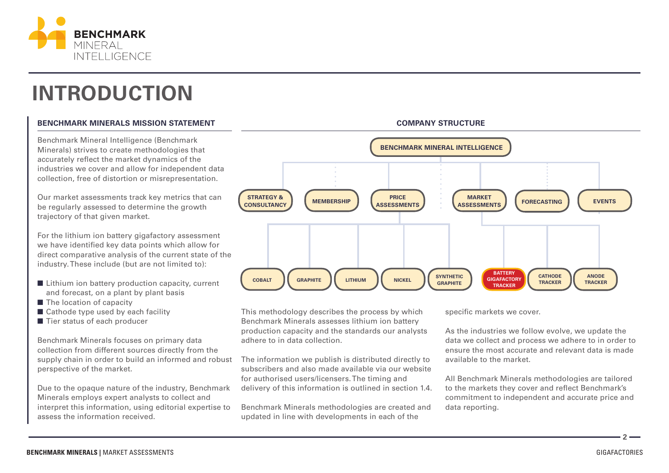

# **INTRODUCTION**

# **BENCHMARK MINERALS MISSION STATEMENT**

Benchmark Mineral Intelligence (Benchmark Minerals) strives to create methodologies that accurately reflect the market dynamics of the industries we cover and allow for independent data collection, free of distortion or misrepresentation.

Our market assessments track key metrics that can be regularly assessed to determine the growth trajectory of that given market.

For the lithium ion battery gigafactory assessment we have identified key data points which allow for direct comparative analysis of the current state of the industry. These include (but are not limited to):

- $\blacksquare$  Lithium ion battery production capacity, current and forecast, on a plant by plant basis
- $\blacksquare$  The location of capacity
- $\blacksquare$  Cathode type used by each facility
- $\blacksquare$  Tier status of each producer

Benchmark Minerals focuses on primary data collection from different sources directly from the supply chain in order to build an informed and robust perspective of the market.

Due to the opaque nature of the industry, Benchmark Minerals employs expert analysts to collect and interpret this information, using editorial expertise to assess the information received.



**COMPANY STRUCTURE**

This methodology describes the process by which Benchmark Minerals assesses lithium ion battery production capacity and the standards our analysts adhere to in data collection.

The information we publish is distributed directly to subscribers and also made available via our website for authorised users/licensers. The timing and delivery of this information is outlined in section 1.4.

Benchmark Minerals methodologies are created and updated in line with developments in each of the

specific markets we cover.

As the industries we follow evolve, we update the data we collect and process we adhere to in order to ensure the most accurate and relevant data is made available to the market.

All Benchmark Minerals methodologies are tailored to the markets they cover and reflect Benchmark's commitment to independent and accurate price and data reporting.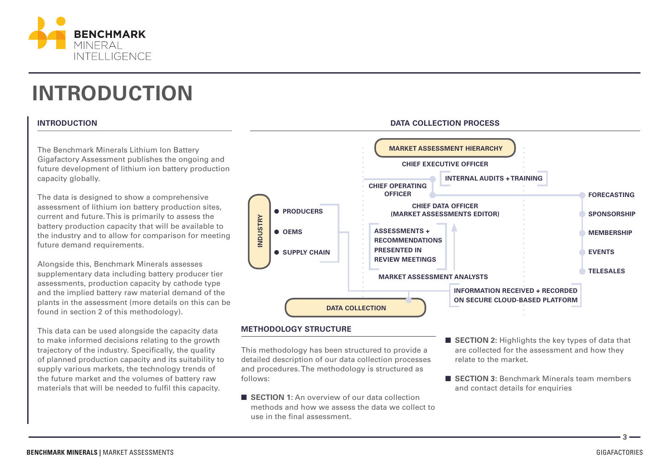

# **INTRODUCTION**

# **INTRODUCTION**

The Benchmark Minerals Lithium Ion Battery Gigafactory Assessment publishes the ongoing and future development of lithium ion battery production capacity globally.

The data is designed to show a comprehensive assessment of lithium ion battery production sites, current and future. This is primarily to assess the battery production capacity that will be available to the industry and to allow for comparison for meeting future demand requirements.

Alongside this, Benchmark Minerals assesses supplementary data including battery producer tier assessments, production capacity by cathode type and the implied battery raw material demand of the plants in the assessment (more details on this can be found in section 2 of this methodology).

This data can be used alongside the capacity data to make informed decisions relating to the growth trajectory of the industry. Specifically, the quality of planned production capacity and its suitability to supply various markets, the technology trends of the future market and the volumes of battery raw materials that will be needed to fulfil this capacity.



**DATA COLLECTION PROCESS**

## **METHODOLOGY STRUCTURE**

This methodology has been structured to provide a detailed description of our data collection processes and procedures. The methodology is structured as follows:

- **E SECTION 1:** An overview of our data collection methods and how we assess the data we collect to use in the final assessment.
- **EXECTION 2:** Highlights the key types of data that are collected for the assessment and how they relate to the market.
- **SECTION 3:** Benchmark Minerals team members and contact details for enquiries

**BENCHMARK MINERALS |** MARKET ASSESSMENTS GIGAFACTORIES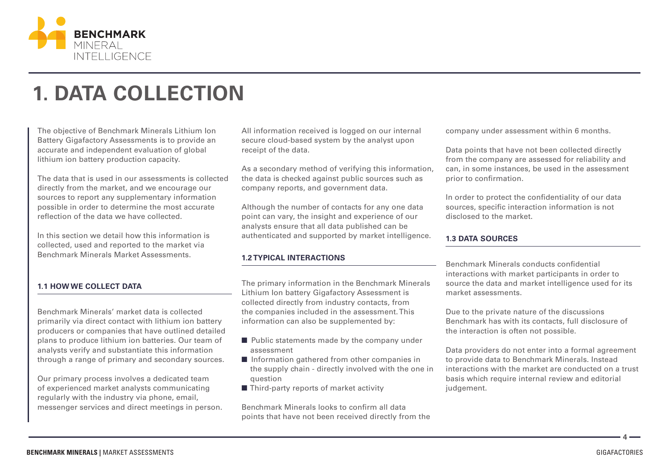

# **1. DATA COLLECTION**

The objective of Benchmark Minerals Lithium Ion Battery Gigafactory Assessments is to provide an accurate and independent evaluation of global lithium ion battery production capacity.

The data that is used in our assessments is collected directly from the market, and we encourage our sources to report any supplementary information possible in order to determine the most accurate reflection of the data we have collected.

In this section we detail how this information is collected, used and reported to the market via Benchmark Minerals Market Assessments.

# **1.1 HOW WE COLLECT DATA**

Benchmark Minerals' market data is collected primarily via direct contact with lithium ion battery producers or companies that have outlined detailed plans to produce lithium ion batteries. Our team of analysts verify and substantiate this information through a range of primary and secondary sources.

Our primary process involves a dedicated team of experienced market analysts communicating regularly with the industry via phone, email, messenger services and direct meetings in person.

All information received is logged on our internal secure cloud-based system by the analyst upon receipt of the data.

As a secondary method of verifying this information, the data is checked against public sources such as company reports, and government data.

Although the number of contacts for any one data point can vary, the insight and experience of our analysts ensure that all data published can be authenticated and supported by market intelligence.

# **1.2 TYPICAL INTERACTIONS**

The primary information in the Benchmark Minerals Lithium Ion battery Gigafactory Assessment is collected directly from industry contacts, from the companies included in the assessment. This information can also be supplemented by:

- $\blacksquare$  Public statements made by the company under assessment
- $\blacksquare$  Information gathered from other companies in the supply chain - directly involved with the one in question
- $\blacksquare$  Third-party reports of market activity

Benchmark Minerals looks to confirm all data points that have not been received directly from the company under assessment within 6 months.

Data points that have not been collected directly from the company are assessed for reliability and can, in some instances, be used in the assessment prior to confirmation.

In order to protect the confidentiality of our data sources, specific interaction information is not disclosed to the market.

### **1.3 DATA SOURCES**

Benchmark Minerals conducts confidential interactions with market participants in order to source the data and market intelligence used for its market assessments.

Due to the private nature of the discussions Benchmark has with its contacts, full disclosure of the interaction is often not possible.

Data providers do not enter into a formal agreement to provide data to Benchmark Minerals. Instead interactions with the market are conducted on a trust basis which require internal review and editorial judgement.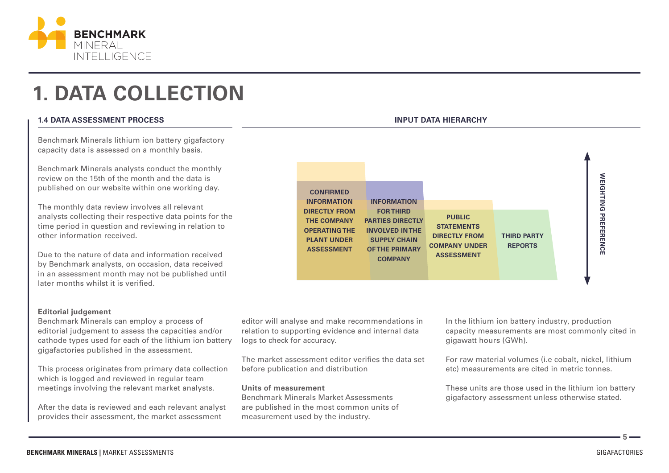

# **1. DATA COLLECTION**

## **1.4 DATA ASSESSMENT PROCESS**

Benchmark Minerals lithium ion battery gigafactory capacity data is assessed on a monthly basis.

Benchmark Minerals analysts conduct the monthly review on the 15th of the month and the data is published on our website within one working day.

The monthly data review involves all relevant analysts collecting their respective data points for the time period in question and reviewing in relation to other information received.

Due to the nature of data and information received by Benchmark analysts, on occasion, data received in an assessment month may not be published until later months whilst it is verified.

## **INPUT DATA HIERARCHY**



#### **Editorial judgement**

Benchmark Minerals can employ a process of editorial judgement to assess the capacities and/or cathode types used for each of the lithium ion battery gigafactories published in the assessment.

This process originates from primary data collection which is logged and reviewed in regular team meetings involving the relevant market analysts.

After the data is reviewed and each relevant analyst provides their assessment, the market assessment

editor will analyse and make recommendations in relation to supporting evidence and internal data logs to check for accuracy.

The market assessment editor verifies the data set before publication and distribution

## **Units of measurement**

Benchmark Minerals Market Assessments are published in the most common units of measurement used by the industry.

In the lithium ion battery industry, production capacity measurements are most commonly cited in gigawatt hours (GWh).

For raw material volumes (i.e cobalt, nickel, lithium etc) measurements are cited in metric tonnes.

These units are those used in the lithium ion battery gigafactory assessment unless otherwise stated.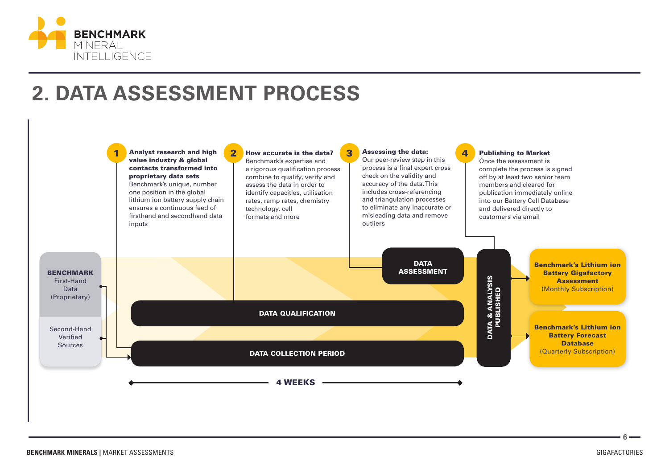

# **2. DATA ASSESSMENT PROCESS**

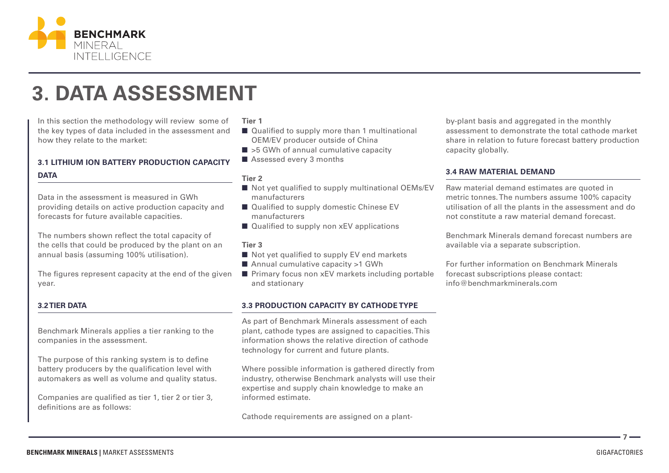

# **3. DATA ASSESSMENT**

In this section the methodology will review some of the key types of data included in the assessment and how they relate to the market:

# **3.1 LITHIUM ION BATTERY PRODUCTION CAPACITY**

## **DATA**

Data in the assessment is measured in GWh providing details on active production capacity and forecasts for future available capacities.

The numbers shown reflect the total capacity of the cells that could be produced by the plant on an annual basis (assuming 100% utilisation).

The figures represent capacity at the end of the given year.

## **3.2 TIER DATA**

Benchmark Minerals applies a tier ranking to the companies in the assessment.

The purpose of this ranking system is to define battery producers by the qualification level with automakers as well as volume and quality status.

Companies are qualified as tier 1, tier 2 or tier 3, definitions are as follows:

### **Tier 1**

- Qualified to supply more than 1 multinational OEM/EV producer outside of China
- $\blacksquare$  >5 GWh of annual cumulative capacity
- $\blacksquare$  Assessed every 3 months

### **Tier 2**

- $\blacksquare$  Not yet qualified to supply multinational OEMs/EV manufacturers
- $\blacksquare$  Qualified to supply domestic Chinese EV manufacturers
- $\blacksquare$  Qualified to supply non xEV applications

# **Tier 3**

- $\blacksquare$  Not yet qualified to supply EV end markets
- Annual cumulative capacity  $>1$  GWh
- $\blacksquare$  Primary focus non xEV markets including portable and stationary

# **3.3 PRODUCTION CAPACITY BY CATHODE TYPE**

As part of Benchmark Minerals assessment of each plant, cathode types are assigned to capacities. This information shows the relative direction of cathode technology for current and future plants.

Where possible information is gathered directly from industry, otherwise Benchmark analysts will use their expertise and supply chain knowledge to make an informed estimate.

Cathode requirements are assigned on a plant-

by-plant basis and aggregated in the monthly assessment to demonstrate the total cathode market share in relation to future forecast battery production capacity globally.

## **3.4 RAW MATERIAL DEMAND**

Raw material demand estimates are quoted in metric tonnes. The numbers assume 100% capacity utilisation of all the plants in the assessment and do not constitute a raw material demand forecast.

Benchmark Minerals demand forecast numbers are available via a separate subscription.

For further information on Benchmark Minerals forecast subscriptions please contact: info@benchmarkminerals.com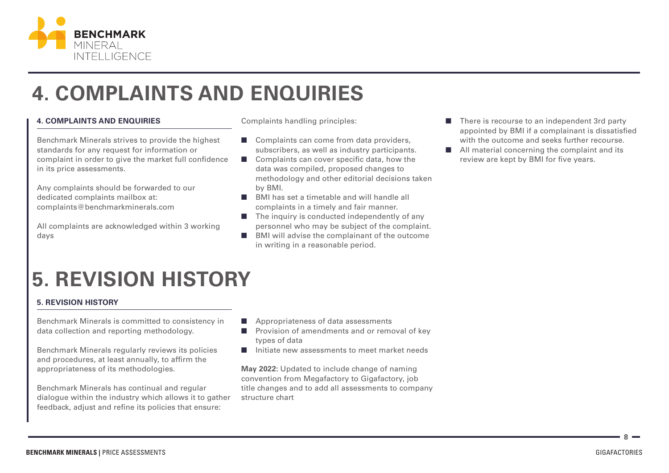

# **4. COMPLAINTS AND ENQUIRIES**

# **4. COMPLAINTS AND ENQUIRIES**

Benchmark Minerals strives to provide the highest standards for any request for information or complaint in order to give the market full confidence in its price assessments.

Any complaints should be forwarded to our dedicated complaints mailbox at: complaints@benchmarkminerals.com

All complaints are acknowledged within 3 working days

Complaints handling principles:

- $\Box$  Complaints can come from data providers, subscribers, as well as industry participants.
- $\Box$  Complaints can cover specific data, how the data was compiled, proposed changes to methodology and other editorial decisions taken by BMI.
- $\blacksquare$  BMI has set a timetable and will handle all complaints in a timely and fair manner.
- $\blacksquare$  The inquiry is conducted independently of any personnel who may be subject of the complaint.
- $\blacksquare$  BMI will advise the complainant of the outcome in writing in a reasonable period.
- $\blacksquare$  There is recourse to an independent 3rd party appointed by BMI if a complainant is dissatisfied with the outcome and seeks further recourse.
- $\blacksquare$  All material concerning the complaint and its review are kept by BMI for five years.

# **5. REVISION HISTORY**

## **5. REVISION HISTORY**

Benchmark Minerals is committed to consistency in data collection and reporting methodology.

Benchmark Minerals regularly reviews its policies and procedures, at least annually, to affirm the appropriateness of its methodologies.

Benchmark Minerals has continual and regular dialogue within the industry which allows it to gather feedback, adjust and refine its policies that ensure:

- $\blacksquare$  Appropriateness of data assessments
- $\blacksquare$  Provision of amendments and or removal of key types of data
- $\blacksquare$  Initiate new assessments to meet market needs

**May 2022:** Updated to include change of naming convention from Megafactory to Gigafactory, job title changes and to add all assessments to company structure chart